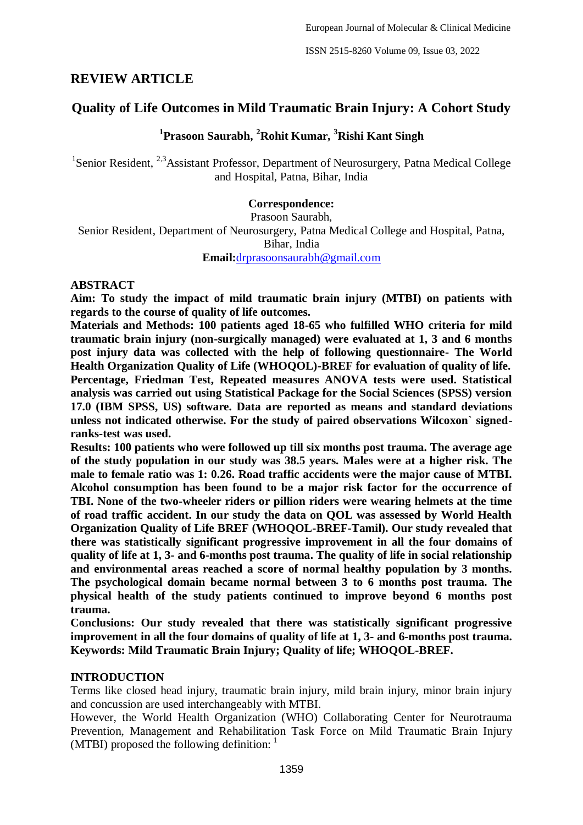# **REVIEW ARTICLE**

# **Quality of Life Outcomes in Mild Traumatic Brain Injury: A Cohort Study**

**1 Prasoon Saurabh, <sup>2</sup>Rohit Kumar, <sup>3</sup>Rishi Kant Singh**

<sup>1</sup>Senior Resident, <sup>2,3</sup>Assistant Professor, Department of Neurosurgery, Patna Medical College and Hospital, Patna, Bihar, India

# **Correspondence:**

Prasoon Saurabh,

Senior Resident, Department of Neurosurgery, Patna Medical College and Hospital, Patna, Bihar, India **Email:**[drprasoonsaurabh@gmail.com](mailto:drprasoonsaurabh@gmail.com)

### **ABSTRACT**

**Aim: To study the impact of mild traumatic brain injury (MTBI) on patients with regards to the course of quality of life outcomes.**

**Materials and Methods: 100 patients aged 18-65 who fulfilled WHO criteria for mild traumatic brain injury (non-surgically managed) were evaluated at 1, 3 and 6 months post injury data was collected with the help of following questionnaire- The World Health Organization Quality of Life (WHOQOL)-BREF for evaluation of quality of life. Percentage, Friedman Test, Repeated measures ANOVA tests were used. Statistical analysis was carried out using Statistical Package for the Social Sciences (SPSS) version 17.0 (IBM SPSS, US) software. Data are reported as means and standard deviations unless not indicated otherwise. For the study of paired observations Wilcoxon` signedranks-test was used.**

**Results: 100 patients who were followed up till six months post trauma. The average age of the study population in our study was 38.5 years. Males were at a higher risk. The male to female ratio was 1: 0.26. Road traffic accidents were the major cause of MTBI. Alcohol consumption has been found to be a major risk factor for the occurrence of TBI. None of the two-wheeler riders or pillion riders were wearing helmets at the time of road traffic accident. In our study the data on QOL was assessed by World Health Organization Quality of Life BREF (WHOQOL-BREF-Tamil). Our study revealed that there was statistically significant progressive improvement in all the four domains of quality of life at 1, 3- and 6-months post trauma. The quality of life in social relationship and environmental areas reached a score of normal healthy population by 3 months. The psychological domain became normal between 3 to 6 months post trauma. The physical health of the study patients continued to improve beyond 6 months post trauma.**

**Conclusions: Our study revealed that there was statistically significant progressive improvement in all the four domains of quality of life at 1, 3- and 6-months post trauma. Keywords: Mild Traumatic Brain Injury; Quality of life; WHOQOL-BREF.**

### **INTRODUCTION**

Terms like closed head injury, traumatic brain injury, mild brain injury, minor brain injury and concussion are used interchangeably with MTBI.

However, the World Health Organization (WHO) Collaborating Center for Neurotrauma Prevention, Management and Rehabilitation Task Force on Mild Traumatic Brain Injury (MTBI) proposed the following definition:  $<sup>1</sup>$ </sup>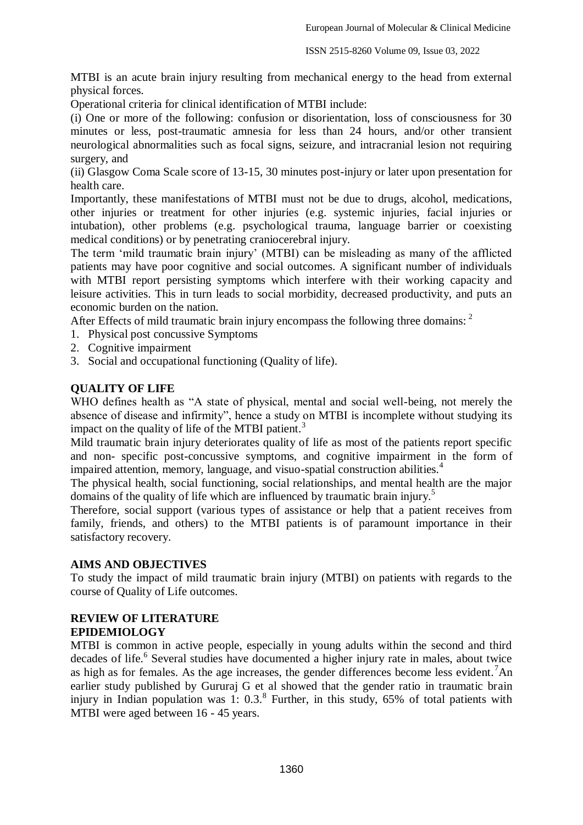MTBI is an acute brain injury resulting from mechanical energy to the head from external physical forces.

Operational criteria for clinical identification of MTBI include:

(i) One or more of the following: confusion or disorientation, loss of consciousness for 30 minutes or less, post-traumatic amnesia for less than 24 hours, and/or other transient neurological abnormalities such as focal signs, seizure, and intracranial lesion not requiring surgery, and

(ii) Glasgow Coma Scale score of 13-15, 30 minutes post-injury or later upon presentation for health care.

Importantly, these manifestations of MTBI must not be due to drugs, alcohol, medications, other injuries or treatment for other injuries (e.g. systemic injuries, facial injuries or intubation), other problems (e.g. psychological trauma, language barrier or coexisting medical conditions) or by penetrating craniocerebral injury.

The term "mild traumatic brain injury" (MTBI) can be misleading as many of the afflicted patients may have poor cognitive and social outcomes. A significant number of individuals with MTBI report persisting symptoms which interfere with their working capacity and leisure activities. This in turn leads to social morbidity, decreased productivity, and puts an economic burden on the nation.

After Effects of mild traumatic brain injury encompass the following three domains: <sup>2</sup>

- 1. Physical post concussive Symptoms
- 2. Cognitive impairment
- 3. Social and occupational functioning (Quality of life).

### **QUALITY OF LIFE**

WHO defines health as "A state of physical, mental and social well-being, not merely the absence of disease and infirmity", hence a study on MTBI is incomplete without studying its impact on the quality of life of the MTBI patient.<sup>3</sup>

Mild traumatic brain injury deteriorates quality of life as most of the patients report specific and non- specific post-concussive symptoms, and cognitive impairment in the form of impaired attention, memory, language, and visuo-spatial construction abilities.<sup>4</sup>

The physical health, social functioning, social relationships, and mental health are the major domains of the quality of life which are influenced by traumatic brain injury.<sup>5</sup>

Therefore, social support (various types of assistance or help that a patient receives from family, friends, and others) to the MTBI patients is of paramount importance in their satisfactory recovery.

### **AIMS AND OBJECTIVES**

To study the impact of mild traumatic brain injury (MTBI) on patients with regards to the course of Quality of Life outcomes.

#### **REVIEW OF LITERATURE EPIDEMIOLOGY**

MTBI is common in active people, especially in young adults within the second and third decades of life.<sup>6</sup> Several studies have documented a higher injury rate in males, about twice as high as for females. As the age increases, the gender differences become less evident.<sup>7</sup>An earlier study published by Gururaj G et al showed that the gender ratio in traumatic brain injury in Indian population was 1:  $0.3$ .<sup>8</sup> Further, in this study,  $65%$  of total patients with MTBI were aged between 16 - 45 years.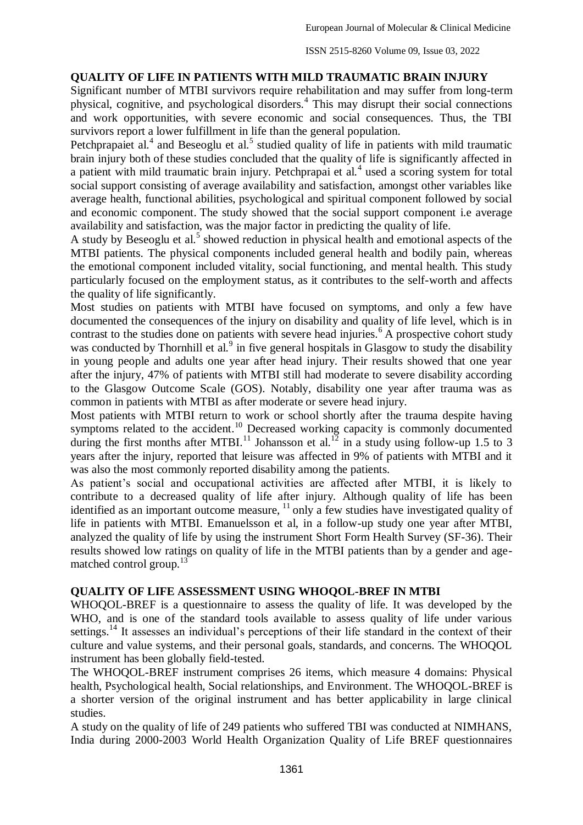### **QUALITY OF LIFE IN PATIENTS WITH MILD TRAUMATIC BRAIN INJURY**

Significant number of MTBI survivors require rehabilitation and may suffer from long-term physical, cognitive, and psychological disorders.<sup>4</sup> This may disrupt their social connections and work opportunities, with severe economic and social consequences. Thus, the TBI survivors report a lower fulfillment in life than the general population.

Petchprapaiet al. $4$  and Beseoglu et al. $5$  studied quality of life in patients with mild traumatic brain injury both of these studies concluded that the quality of life is significantly affected in a patient with mild traumatic brain injury. Petchprapai et al.<sup>4</sup> used a scoring system for total social support consisting of average availability and satisfaction, amongst other variables like average health, functional abilities, psychological and spiritual component followed by social and economic component. The study showed that the social support component i.e average availability and satisfaction, was the major factor in predicting the quality of life.

A study by Beseoglu et al.<sup>5</sup> showed reduction in physical health and emotional aspects of the MTBI patients. The physical components included general health and bodily pain, whereas the emotional component included vitality, social functioning, and mental health. This study particularly focused on the employment status, as it contributes to the self-worth and affects the quality of life significantly.

Most studies on patients with MTBI have focused on symptoms, and only a few have documented the consequences of the injury on disability and quality of life level, which is in contrast to the studies done on patients with severe head injuries.<sup>6</sup> A prospective cohort study was conducted by Thornhill et al.<sup>9</sup> in five general hospitals in Glasgow to study the disability in young people and adults one year after head injury. Their results showed that one year after the injury, 47% of patients with MTBI still had moderate to severe disability according to the Glasgow Outcome Scale (GOS). Notably, disability one year after trauma was as common in patients with MTBI as after moderate or severe head injury.

Most patients with MTBI return to work or school shortly after the trauma despite having symptoms related to the accident.<sup>10</sup> Decreased working capacity is commonly documented during the first months after MTBI.<sup>11</sup> Johansson et al.<sup>12</sup> in a study using follow-up 1.5 to 3 years after the injury, reported that leisure was affected in 9% of patients with MTBI and it was also the most commonly reported disability among the patients.

As patient's social and occupational activities are affected after MTBI, it is likely to contribute to a decreased quality of life after injury. Although quality of life has been identified as an important outcome measure, <sup>11</sup> only a few studies have investigated quality of life in patients with MTBI. Emanuelsson et al, in a follow-up study one year after MTBI, analyzed the quality of life by using the instrument Short Form Health Survey (SF-36). Their results showed low ratings on quality of life in the MTBI patients than by a gender and agematched control group.<sup>13</sup>

### **QUALITY OF LIFE ASSESSMENT USING WHOQOL-BREF IN MTBI**

WHOQOL-BREF is a questionnaire to assess the quality of life. It was developed by the WHO, and is one of the standard tools available to assess quality of life under various settings.<sup>14</sup> It assesses an individual's perceptions of their life standard in the context of their culture and value systems, and their personal goals, standards, and concerns. The WHOQOL instrument has been globally field-tested.

The WHOQOL-BREF instrument comprises 26 items, which measure 4 domains: Physical health, Psychological health, Social relationships, and Environment. The WHOQOL-BREF is a shorter version of the original instrument and has better applicability in large clinical studies.

A study on the quality of life of 249 patients who suffered TBI was conducted at NIMHANS, India during 2000-2003 World Health Organization Quality of Life BREF questionnaires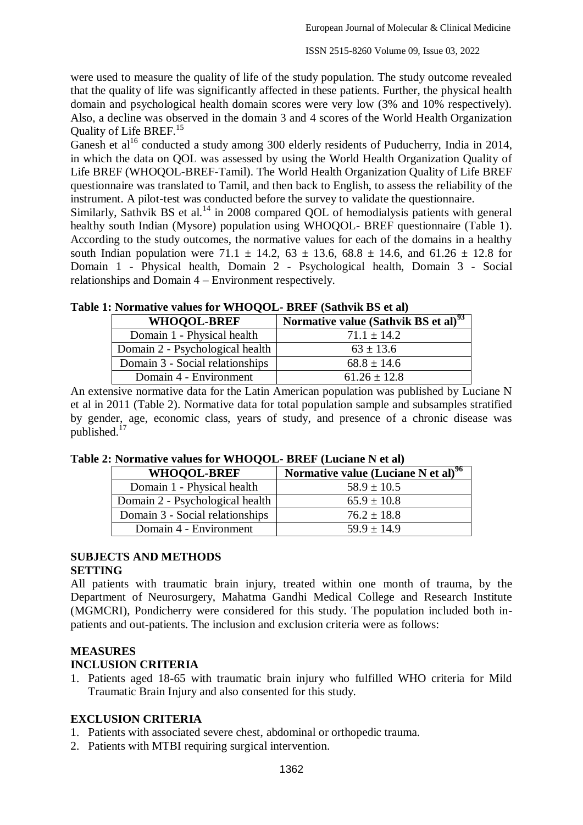were used to measure the quality of life of the study population. The study outcome revealed that the quality of life was significantly affected in these patients. Further, the physical health domain and psychological health domain scores were very low (3% and 10% respectively). Also, a decline was observed in the domain 3 and 4 scores of the World Health Organization Quality of Life BREF.<sup>15</sup>

Ganesh et al<sup>16</sup> conducted a study among 300 elderly residents of Puducherry, India in 2014, in which the data on QOL was assessed by using the World Health Organization Quality of Life BREF (WHOQOL-BREF-Tamil). The World Health Organization Quality of Life BREF questionnaire was translated to Tamil, and then back to English, to assess the reliability of the instrument. A pilot-test was conducted before the survey to validate the questionnaire.

Similarly, Sathvik BS et al.<sup>14</sup> in 2008 compared QOL of hemodialysis patients with general healthy south Indian (Mysore) population using WHOQOL- BREF questionnaire (Table 1). According to the study outcomes, the normative values for each of the domains in a healthy south Indian population were 71.1  $\pm$  14.2, 63  $\pm$  13.6, 68.8  $\pm$  14.6, and 61.26  $\pm$  12.8 for Domain 1 - Physical health, Domain 2 - Psychological health, Domain 3 - Social relationships and Domain 4 – Environment respectively.

| Normative value (Sathvik BS et al) <sup>93</sup> |
|--------------------------------------------------|
| $71.1 + 14.2$                                    |
| $63 \pm 13.6$                                    |
| $68.8 \pm 14.6$                                  |
| $61.26 \pm 12.8$                                 |
|                                                  |

An extensive normative data for the Latin American population was published by Luciane N et al in 2011 (Table 2). Normative data for total population sample and subsamples stratified by gender, age, economic class, years of study, and presence of a chronic disease was published.<sup>17</sup>

| $\cdots$ . The matrix $\cdots$ and $\cdots$ is the set of $\cdots$ |                                                 |  |  |  |  |  |
|--------------------------------------------------------------------|-------------------------------------------------|--|--|--|--|--|
| <b>WHOOOL-BREF</b>                                                 | Normative value (Luciane N et al) <sup>96</sup> |  |  |  |  |  |
| Domain 1 - Physical health                                         | $58.9 \pm 10.5$                                 |  |  |  |  |  |
| Domain 2 - Psychological health                                    | $65.9 \pm 10.8$                                 |  |  |  |  |  |
| Domain 3 - Social relationships                                    | $76.2 + 18.8$                                   |  |  |  |  |  |
| Domain 4 - Environment                                             | $59.9 \pm 14.9$                                 |  |  |  |  |  |

**Table 2: Normative values for WHOQOL- BREF (Luciane N et al)**

### **SUBJECTS AND METHODS**

#### **SETTING**

All patients with traumatic brain injury, treated within one month of trauma, by the Department of Neurosurgery, Mahatma Gandhi Medical College and Research Institute (MGMCRI), Pondicherry were considered for this study. The population included both inpatients and out-patients. The inclusion and exclusion criteria were as follows:

### **MEASURES INCLUSION CRITERIA**

1. Patients aged 18-65 with traumatic brain injury who fulfilled WHO criteria for Mild Traumatic Brain Injury and also consented for this study.

### **EXCLUSION CRITERIA**

- 1. Patients with associated severe chest, abdominal or orthopedic trauma.
- 2. Patients with MTBI requiring surgical intervention.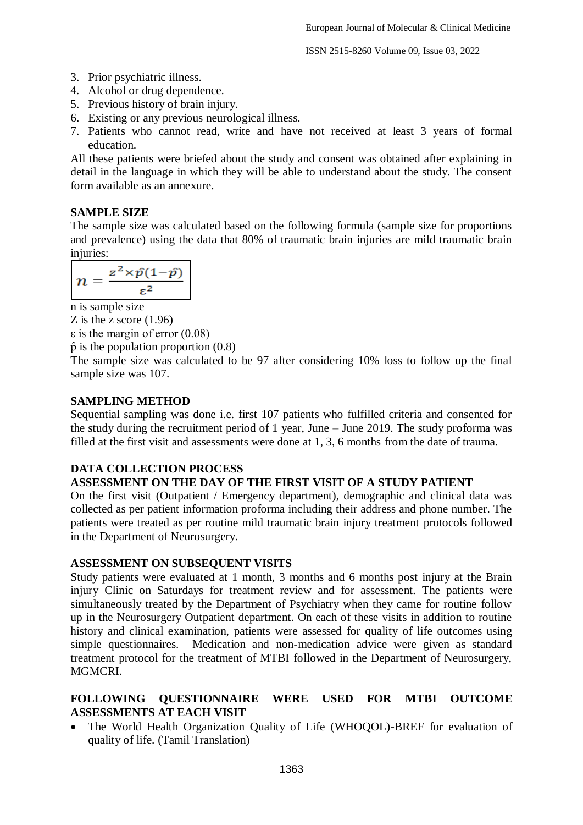- 3. Prior psychiatric illness.
- 4. Alcohol or drug dependence.
- 5. Previous history of brain injury.
- 6. Existing or any previous neurological illness.
- 7. Patients who cannot read, write and have not received at least 3 years of formal education.

All these patients were briefed about the study and consent was obtained after explaining in detail in the language in which they will be able to understand about the study. The consent form available as an annexure.

# **SAMPLE SIZE**

The sample size was calculated based on the following formula (sample size for proportions and prevalence) using the data that 80% of traumatic brain injuries are mild traumatic brain injuries:

$$
n=\frac{z^2\times \hat{p}(1-\hat{p})}{\varepsilon^2}
$$

n is sample size

Z is the z score (1.96)

ε is the margin of error (0.08)

 $\hat{p}$  is the population proportion (0.8)

The sample size was calculated to be 97 after considering 10% loss to follow up the final sample size was 107.

### **SAMPLING METHOD**

Sequential sampling was done i.e. first 107 patients who fulfilled criteria and consented for the study during the recruitment period of 1 year, June – June 2019. The study proforma was filled at the first visit and assessments were done at 1, 3, 6 months from the date of trauma.

# **DATA COLLECTION PROCESS**

# **ASSESSMENT ON THE DAY OF THE FIRST VISIT OF A STUDY PATIENT**

On the first visit (Outpatient / Emergency department), demographic and clinical data was collected as per patient information proforma including their address and phone number. The patients were treated as per routine mild traumatic brain injury treatment protocols followed in the Department of Neurosurgery.

### **ASSESSMENT ON SUBSEQUENT VISITS**

Study patients were evaluated at 1 month, 3 months and 6 months post injury at the Brain injury Clinic on Saturdays for treatment review and for assessment. The patients were simultaneously treated by the Department of Psychiatry when they came for routine follow up in the Neurosurgery Outpatient department. On each of these visits in addition to routine history and clinical examination, patients were assessed for quality of life outcomes using simple questionnaires. Medication and non-medication advice were given as standard treatment protocol for the treatment of MTBI followed in the Department of Neurosurgery, **MGMCRI** 

# **FOLLOWING QUESTIONNAIRE WERE USED FOR MTBI OUTCOME ASSESSMENTS AT EACH VISIT**

 The World Health Organization Quality of Life (WHOQOL)-BREF for evaluation of quality of life. (Tamil Translation)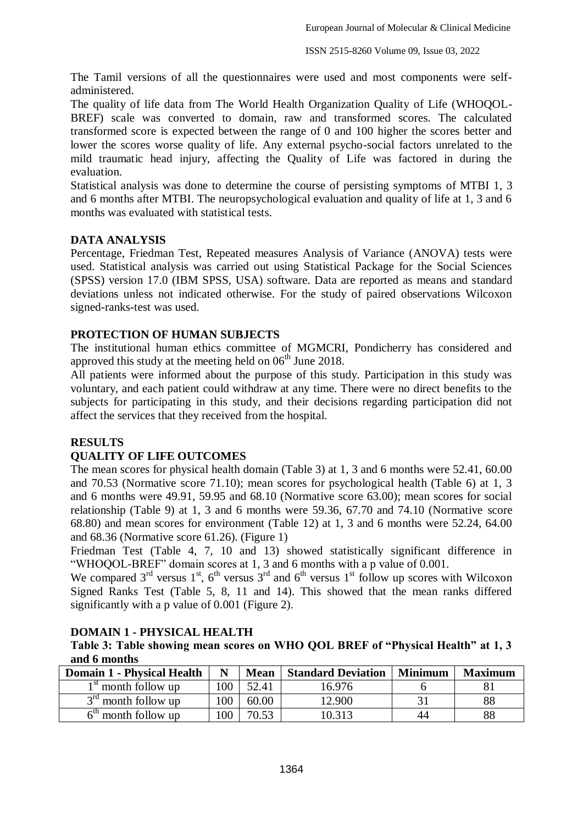The Tamil versions of all the questionnaires were used and most components were selfadministered.

The quality of life data from The World Health Organization Quality of Life (WHOQOL-BREF) scale was converted to domain, raw and transformed scores. The calculated transformed score is expected between the range of 0 and 100 higher the scores better and lower the scores worse quality of life. Any external psycho-social factors unrelated to the mild traumatic head injury, affecting the Quality of Life was factored in during the evaluation.

Statistical analysis was done to determine the course of persisting symptoms of MTBI 1, 3 and 6 months after MTBI. The neuropsychological evaluation and quality of life at 1, 3 and 6 months was evaluated with statistical tests.

### **DATA ANALYSIS**

Percentage, Friedman Test, Repeated measures Analysis of Variance (ANOVA) tests were used. Statistical analysis was carried out using Statistical Package for the Social Sciences (SPSS) version 17.0 (IBM SPSS, USA) software. Data are reported as means and standard deviations unless not indicated otherwise. For the study of paired observations Wilcoxon signed-ranks-test was used.

### **PROTECTION OF HUMAN SUBJECTS**

The institutional human ethics committee of MGMCRI, Pondicherry has considered and approved this study at the meeting held on  $06<sup>th</sup>$  June 2018.

All patients were informed about the purpose of this study. Participation in this study was voluntary, and each patient could withdraw at any time. There were no direct benefits to the subjects for participating in this study, and their decisions regarding participation did not affect the services that they received from the hospital.

### **RESULTS**

### **QUALITY OF LIFE OUTCOMES**

The mean scores for physical health domain (Table 3) at 1, 3 and 6 months were 52.41, 60.00 and 70.53 (Normative score 71.10); mean scores for psychological health (Table 6) at 1, 3 and 6 months were 49.91, 59.95 and 68.10 (Normative score 63.00); mean scores for social relationship (Table 9) at 1, 3 and 6 months were 59.36, 67.70 and 74.10 (Normative score 68.80) and mean scores for environment (Table 12) at 1, 3 and 6 months were 52.24, 64.00 and 68.36 (Normative score 61.26). (Figure 1)

Friedman Test (Table 4, 7, 10 and 13) showed statistically significant difference in "WHOQOL-BREF" domain scores at 1, 3 and 6 months with a p value of 0.001.

We compared  $3<sup>rd</sup>$  versus  $1<sup>st</sup>$ ,  $6<sup>th</sup>$  versus  $3<sup>rd</sup>$  and  $6<sup>th</sup>$  versus  $1<sup>st</sup>$  follow up scores with Wilcoxon Signed Ranks Test (Table 5, 8, 11 and 14). This showed that the mean ranks differed significantly with a p value of 0.001 (Figure 2).

#### **DOMAIN 1 - PHYSICAL HEALTH**

**Table 3: Table showing mean scores on WHO QOL BREF of "Physical Health" at 1, 3 and 6 months**

| <b>Domain 1 - Physical Health</b> | N   | <b>Mean</b> | <b>Standard Deviation</b> | <b>Minimum</b> | <b>Maximum</b> |
|-----------------------------------|-----|-------------|---------------------------|----------------|----------------|
| $1st$ month follow up             | 100 | 52.41       | 16.976                    |                |                |
| $3^{rd}$ month follow up          | 100 | 60.00       | 12.900                    |                | 88             |
| $6th$ month follow up             | 100 | 70.53       | 10.313                    | 44             | 88             |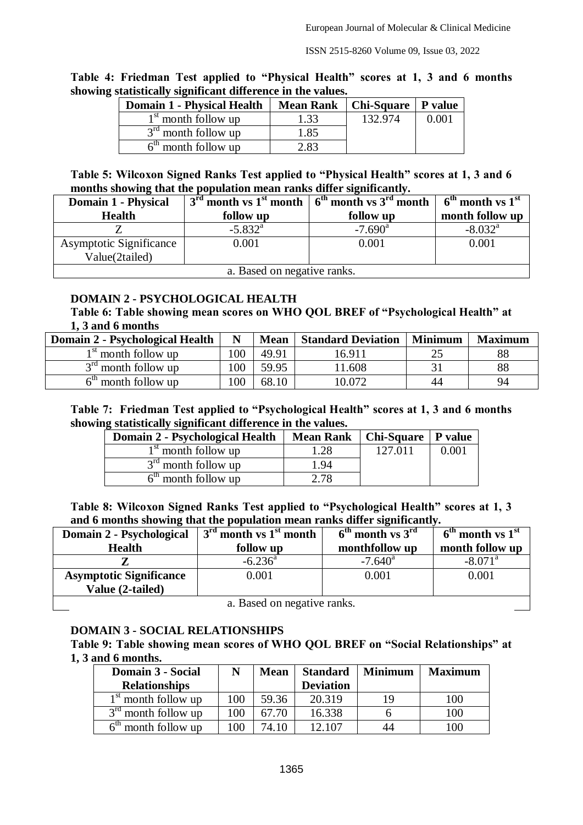| Table 4: Friedman Test applied to "Physical Health" scores at 1, 3 and 6 months |  |  |  |  |  |  |
|---------------------------------------------------------------------------------|--|--|--|--|--|--|
| showing statistically significant difference in the values.                     |  |  |  |  |  |  |

| <b>Domain 1 - Physical Health</b> | <b>Mean Rank</b> | Chi-Square   P value |       |
|-----------------------------------|------------------|----------------------|-------|
| $1st$ month follow up             | 1.33             | 132.974              | 0.001 |
| $3rd$ month follow up             | 1.85             |                      |       |
| $6th$ month follow up             | 2.83             |                      |       |

### **Table 5: Wilcoxon Signed Ranks Test applied to "Physical Health" scores at 1, 3 and 6 months showing that the population mean ranks differ significantly.**

| Domain 1 - Physical            |                       | $3^{rd}$ month vs 1 <sup>st</sup> month $6^{th}$ month vs 3 <sup>rd</sup> month | $6^{\text{th}}$ month vs $1^{\text{st}}$ |  |  |  |
|--------------------------------|-----------------------|---------------------------------------------------------------------------------|------------------------------------------|--|--|--|
| <b>Health</b>                  | follow up             | follow up                                                                       | month follow up                          |  |  |  |
|                                | $-5.832$ <sup>a</sup> | $-7.690$ <sup>a</sup>                                                           | $-8.032$ <sup>a</sup>                    |  |  |  |
| <b>Asymptotic Significance</b> | 0.001                 | 0.001                                                                           | 0.001                                    |  |  |  |
| Value(2tailed)                 |                       |                                                                                 |                                          |  |  |  |
| a. Based on negative ranks.    |                       |                                                                                 |                                          |  |  |  |

**DOMAIN 2 - PSYCHOLOGICAL HEALTH**

**Table 6: Table showing mean scores on WHO QOL BREF of "Psychological Health" at 1, 3 and 6 months** 

| Domain 2 - Psychological Health |     | <b>Mean</b> | <b>Standard Deviation</b> | <b>Minimum</b> | <b>Maximum</b> |
|---------------------------------|-----|-------------|---------------------------|----------------|----------------|
| $1st$ month follow up           | 100 | 49.91       | 6.911                     |                | 88             |
| $3rd$ month follow up           | 100 | 59.95       | .608                      |                | 88             |
| month follow up                 | 100 | 68.10       | 0.072                     | 44             | 94             |

#### **Table 7: Friedman Test applied to "Psychological Health" scores at 1, 3 and 6 months showing statistically significant difference in the values.**

| Domain 2 - Psychological Health | <b>Mean Rank</b> | Chi-Square   P value |       |
|---------------------------------|------------------|----------------------|-------|
| $1st$ month follow up           | 1.28             | 127.011              | 0.001 |
| $3rd$ month follow up           | 1.94             |                      |       |
| $6th$ month follow up           | 2.78             |                      |       |

**Table 8: Wilcoxon Signed Ranks Test applied to "Psychological Health" scores at 1, 3 and 6 months showing that the population mean ranks differ significantly.**

| Domain 2 - Psychological       | $3rd$ month vs $1st$ month | $6th$ month vs $3rd$  | $6th$ month vs $1st$ |  |  |  |  |
|--------------------------------|----------------------------|-----------------------|----------------------|--|--|--|--|
| <b>Health</b>                  | follow up                  | monthfollow up        | month follow up      |  |  |  |  |
|                                | $-6.236^{\circ}$           | $-7.640$ <sup>a</sup> | $-8.071^{\circ}$     |  |  |  |  |
| <b>Asymptotic Significance</b> | 0.001                      | 0.001                 | 0.001                |  |  |  |  |
| Value (2-tailed)               |                            |                       |                      |  |  |  |  |
| a. Based on negative ranks.    |                            |                       |                      |  |  |  |  |

### **DOMAIN 3 - SOCIAL RELATIONSHIPS**

**Table 9: Table showing mean scores of WHO QOL BREF on "Social Relationships" at 1, 3 and 6 months.**

| Domain 3 - Social     |                | <b>Mean</b> | <b>Standard</b>  | <b>Minimum</b> | <b>Maximum</b> |
|-----------------------|----------------|-------------|------------------|----------------|----------------|
| <b>Relationships</b>  |                |             | <b>Deviation</b> |                |                |
| $1st$ month follow up | 100            | 59.36       | 20.319           | 19             | 100            |
| $3rd$ month follow up | 100            | 67.70       | 16.338           |                | 100            |
| $6th$ month follow up | 0 <sup>0</sup> | 74.10       | 12.107           | 44             | 100            |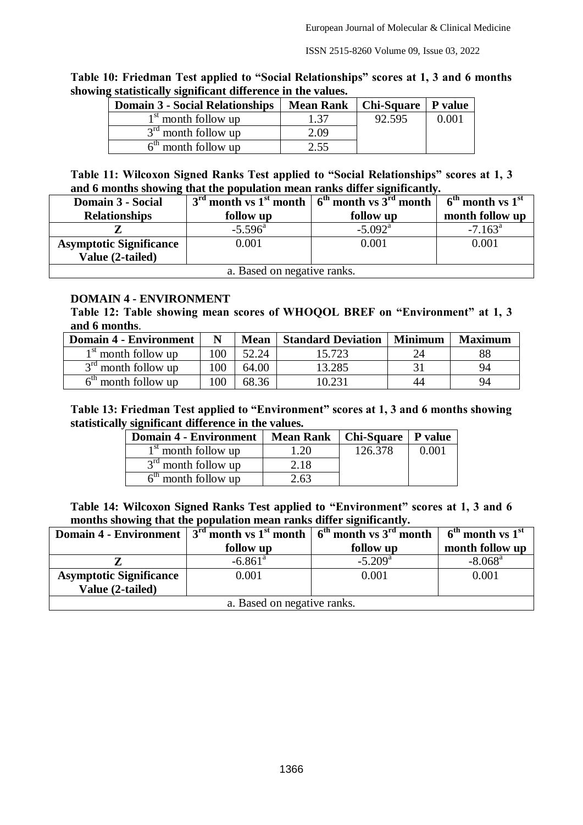| Table 10: Friedman Test applied to "Social Relationships" scores at 1, 3 and 6 months |  |  |
|---------------------------------------------------------------------------------------|--|--|
| showing statistically significant difference in the values.                           |  |  |

| <b>Domain 3 - Social Relationships</b> | <b>Mean Rank</b> | Chi-Square   P value |       |
|----------------------------------------|------------------|----------------------|-------|
| $1st$ month follow up                  | 1.37             | 92.595               | 0.001 |
| $3rd$ month follow up                  | 2.09             |                      |       |
| $6th$ month follow up                  | 2.55             |                      |       |

### **Table 11: Wilcoxon Signed Ranks Test applied to "Social Relationships" scores at 1, 3 and 6 months showing that the population mean ranks differ significantly.**

| Domain 3 - Social              |                  | $3rd$ month vs 1 <sup>st</sup> month $6th$ month vs 3 <sup>rd</sup> month | $6th$ month vs $1st$ |  |
|--------------------------------|------------------|---------------------------------------------------------------------------|----------------------|--|
| <b>Relationships</b>           | follow up        | follow up                                                                 | month follow up      |  |
|                                | $-5.596^{\circ}$ | $-5.092$ <sup>a</sup>                                                     | $-7.163^{\circ}$     |  |
| <b>Asymptotic Significance</b> | 0.001            | 0.001                                                                     | 0.001                |  |
| Value (2-tailed)               |                  |                                                                           |                      |  |
| a. Based on negative ranks.    |                  |                                                                           |                      |  |

### **DOMAIN 4 - ENVIRONMENT**

**Table 12: Table showing mean scores of WHOQOL BREF on "Environment" at 1, 3 and 6 months**.

| <b>Domain 4 - Environment</b> |     | <b>Mean</b> | <b>Standard Deviation</b> | <b>Minimum</b> | <b>Maximum</b> |
|-------------------------------|-----|-------------|---------------------------|----------------|----------------|
| $1st$ month follow up         | 100 | 52.24       | 15.723                    |                | 88             |
| $3rd$ month follow up         | 100 | 64.00       | 13.285                    |                | 94             |
| month follow up               | 100 | 68.36       |                           | 44             | 94             |

#### **Table 13: Friedman Test applied to "Environment" scores at 1, 3 and 6 months showing statistically significant difference in the values.**

| <b>Domain 4 - Environment</b> | <b>Mean Rank</b> | Chi-Square   P value |       |
|-------------------------------|------------------|----------------------|-------|
| $1st$ month follow up         | 1.20             | 126.378              | 0.001 |
| $3rd$ month follow up         | 2.18             |                      |       |
| $6th$ month follow up         | 2.63             |                      |       |

**Table 14: Wilcoxon Signed Ranks Test applied to "Environment" scores at 1, 3 and 6 months showing that the population mean ranks differ significantly.**

| Domain 4 - Environment         |                       | $\frac{1}{3}$ 3 <sup>rd</sup> month vs 1 <sup>st</sup> month $\frac{1}{3}$ 6 <sup>th</sup> month vs 3 <sup>rd</sup> month | $6th$ month vs $1st$  |  |
|--------------------------------|-----------------------|---------------------------------------------------------------------------------------------------------------------------|-----------------------|--|
|                                | follow up             | follow up                                                                                                                 | month follow up       |  |
|                                | $-6.861$ <sup>a</sup> | $-5.209$ <sup>a</sup>                                                                                                     | $-8.068$ <sup>a</sup> |  |
| <b>Asymptotic Significance</b> | 0.001                 | 0.001                                                                                                                     | 0.001                 |  |
| Value (2-tailed)               |                       |                                                                                                                           |                       |  |
| a. Based on negative ranks.    |                       |                                                                                                                           |                       |  |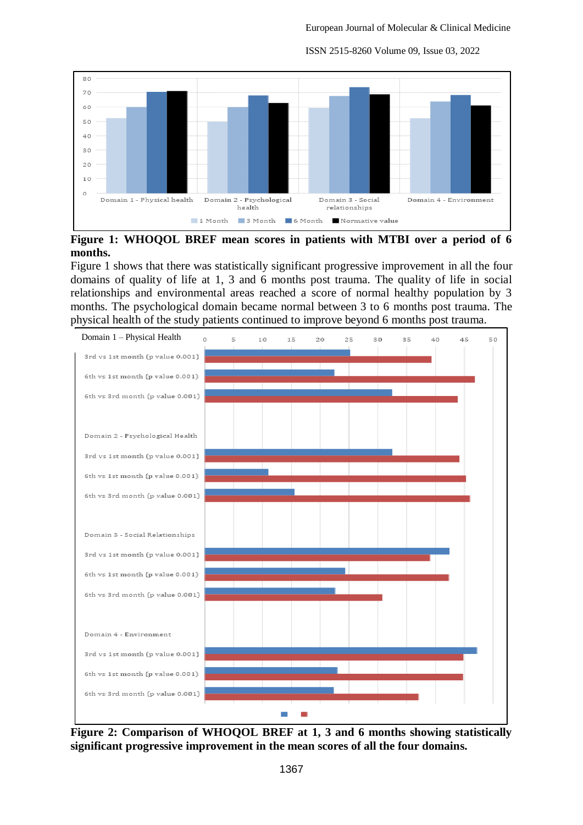

ISSN 2515-8260 Volume 09, Issue 03, 2022

**Figure 1: WHOQOL BREF mean scores in patients with MTBI over a period of 6 months.**

Figure 1 shows that there was statistically significant progressive improvement in all the four domains of quality of life at 1, 3 and 6 months post trauma. The quality of life in social relationships and environmental areas reached a score of normal healthy population by 3 months. The psychological domain became normal between 3 to 6 months post trauma. The physical health of the study patients continued to improve beyond 6 months post trauma.



**Figure 2: Comparison of WHOQOL BREF at 1, 3 and 6 months showing statistically significant progressive improvement in the mean scores of all the four domains.**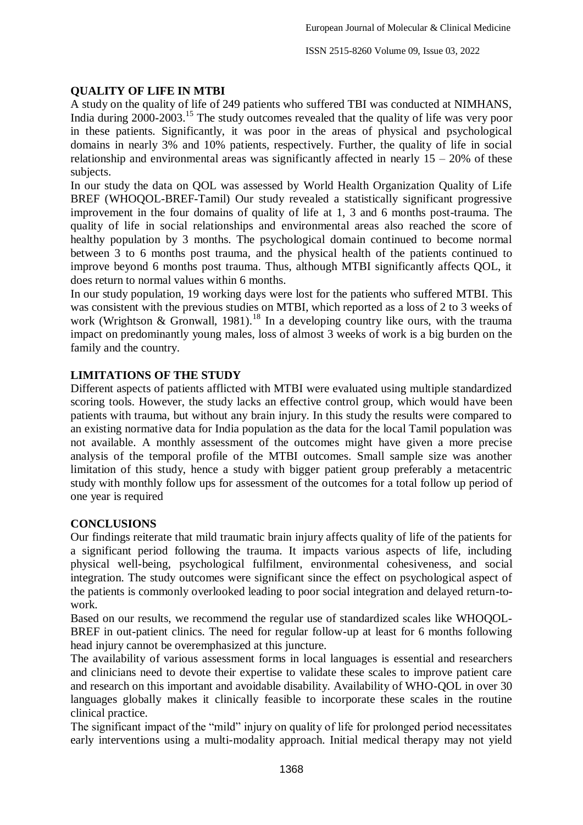### **QUALITY OF LIFE IN MTBI**

A study on the quality of life of 249 patients who suffered TBI was conducted at NIMHANS, India during 2000-2003.<sup>15</sup> The study outcomes revealed that the quality of life was very poor in these patients. Significantly, it was poor in the areas of physical and psychological domains in nearly 3% and 10% patients, respectively. Further, the quality of life in social relationship and environmental areas was significantly affected in nearly  $15 - 20\%$  of these subjects.

In our study the data on QOL was assessed by World Health Organization Quality of Life BREF (WHOQOL-BREF-Tamil) Our study revealed a statistically significant progressive improvement in the four domains of quality of life at 1, 3 and 6 months post-trauma. The quality of life in social relationships and environmental areas also reached the score of healthy population by 3 months. The psychological domain continued to become normal between 3 to 6 months post trauma, and the physical health of the patients continued to improve beyond 6 months post trauma. Thus, although MTBI significantly affects QOL, it does return to normal values within 6 months.

In our study population, 19 working days were lost for the patients who suffered MTBI. This was consistent with the previous studies on MTBI, which reported as a loss of 2 to 3 weeks of work (Wrightson & Gronwall, 1981).<sup>18</sup> In a developing country like ours, with the trauma impact on predominantly young males, loss of almost 3 weeks of work is a big burden on the family and the country.

# **LIMITATIONS OF THE STUDY**

Different aspects of patients afflicted with MTBI were evaluated using multiple standardized scoring tools. However, the study lacks an effective control group, which would have been patients with trauma, but without any brain injury. In this study the results were compared to an existing normative data for India population as the data for the local Tamil population was not available. A monthly assessment of the outcomes might have given a more precise analysis of the temporal profile of the MTBI outcomes. Small sample size was another limitation of this study, hence a study with bigger patient group preferably a metacentric study with monthly follow ups for assessment of the outcomes for a total follow up period of one year is required

### **CONCLUSIONS**

Our findings reiterate that mild traumatic brain injury affects quality of life of the patients for a significant period following the trauma. It impacts various aspects of life, including physical well-being, psychological fulfilment, environmental cohesiveness, and social integration. The study outcomes were significant since the effect on psychological aspect of the patients is commonly overlooked leading to poor social integration and delayed return-towork.

Based on our results, we recommend the regular use of standardized scales like WHOQOL-BREF in out-patient clinics. The need for regular follow-up at least for 6 months following head injury cannot be overemphasized at this juncture.

The availability of various assessment forms in local languages is essential and researchers and clinicians need to devote their expertise to validate these scales to improve patient care and research on this important and avoidable disability. Availability of WHO-QOL in over 30 languages globally makes it clinically feasible to incorporate these scales in the routine clinical practice.

The significant impact of the "mild" injury on quality of life for prolonged period necessitates early interventions using a multi-modality approach. Initial medical therapy may not yield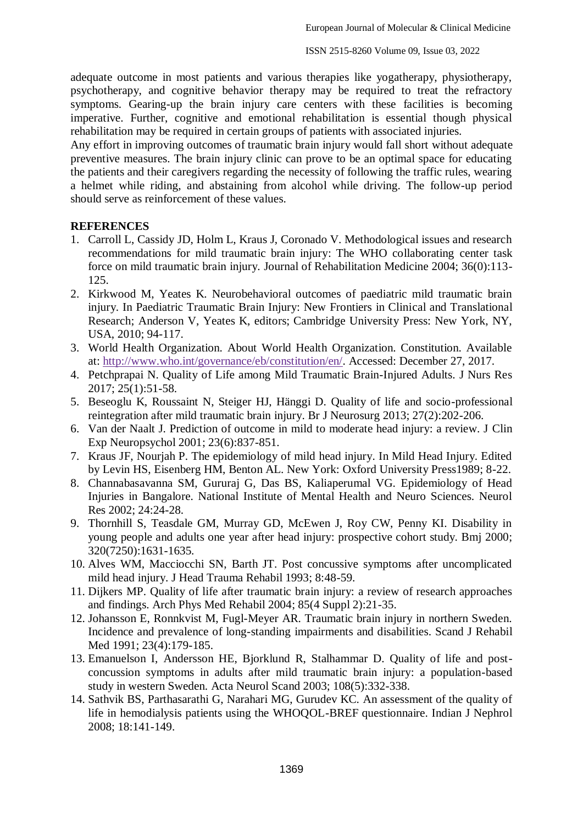adequate outcome in most patients and various therapies like yogatherapy, physiotherapy, psychotherapy, and cognitive behavior therapy may be required to treat the refractory symptoms. Gearing-up the brain injury care centers with these facilities is becoming imperative. Further, cognitive and emotional rehabilitation is essential though physical rehabilitation may be required in certain groups of patients with associated injuries.

Any effort in improving outcomes of traumatic brain injury would fall short without adequate preventive measures. The brain injury clinic can prove to be an optimal space for educating the patients and their caregivers regarding the necessity of following the traffic rules, wearing a helmet while riding, and abstaining from alcohol while driving. The follow-up period should serve as reinforcement of these values.

### **REFERENCES**

- 1. Carroll L, Cassidy JD, Holm L, Kraus J, Coronado V. Methodological issues and research recommendations for mild traumatic brain injury: The WHO collaborating center task force on mild traumatic brain injury. Journal of Rehabilitation Medicine 2004; 36(0):113- 125.
- 2. Kirkwood M, Yeates K. Neurobehavioral outcomes of paediatric mild traumatic brain injury. In Paediatric Traumatic Brain Injury: New Frontiers in Clinical and Translational Research; Anderson V, Yeates K, editors; Cambridge University Press: New York, NY, USA, 2010; 94-117.
- 3. World Health Organization. About World Health Organization. Constitution. Available at: [http://www.who.int/governance/eb/constitution/en/.](http://www.who.int/governance/eb/constitution/en/) Accessed: December 27, 2017.
- 4. Petchprapai N. Quality of Life among Mild Traumatic Brain-Injured Adults. J Nurs Res 2017; 25(1):51-58.
- 5. Beseoglu K, Roussaint N, Steiger HJ, Hänggi D. Quality of life and socio-professional reintegration after mild traumatic brain injury. Br J Neurosurg 2013; 27(2):202-206.
- 6. Van der Naalt J. Prediction of outcome in mild to moderate head injury: a review. J Clin Exp Neuropsychol 2001; 23(6):837-851.
- 7. Kraus JF, Nourjah P. The epidemiology of mild head injury. In Mild Head Injury. Edited by Levin HS, Eisenberg HM, Benton AL. New York: Oxford University Press1989; 8-22.
- 8. Channabasavanna SM, Gururaj G, Das BS, Kaliaperumal VG. Epidemiology of Head Injuries in Bangalore. National Institute of Mental Health and Neuro Sciences. Neurol Res 2002; 24:24-28.
- 9. Thornhill S, Teasdale GM, Murray GD, McEwen J, Roy CW, Penny KI. Disability in young people and adults one year after head injury: prospective cohort study. Bmj 2000; 320(7250):1631-1635.
- 10. Alves WM, Macciocchi SN, Barth JT. Post concussive symptoms after uncomplicated mild head injury. J Head Trauma Rehabil 1993; 8:48-59.
- 11. Dijkers MP. Quality of life after traumatic brain injury: a review of research approaches and findings. Arch Phys Med Rehabil 2004; 85(4 Suppl 2):21-35.
- 12. Johansson E, Ronnkvist M, Fugl-Meyer AR. Traumatic brain injury in northern Sweden. Incidence and prevalence of long-standing impairments and disabilities. Scand J Rehabil Med 1991; 23(4):179-185.
- 13. Emanuelson I, Andersson HE, Bjorklund R, Stalhammar D. Quality of life and postconcussion symptoms in adults after mild traumatic brain injury: a population-based study in western Sweden. Acta Neurol Scand 2003; 108(5):332-338.
- 14. Sathvik BS, Parthasarathi G, Narahari MG, Gurudev KC. An assessment of the quality of life in hemodialysis patients using the WHOQOL-BREF questionnaire. Indian J Nephrol 2008; 18:141-149.